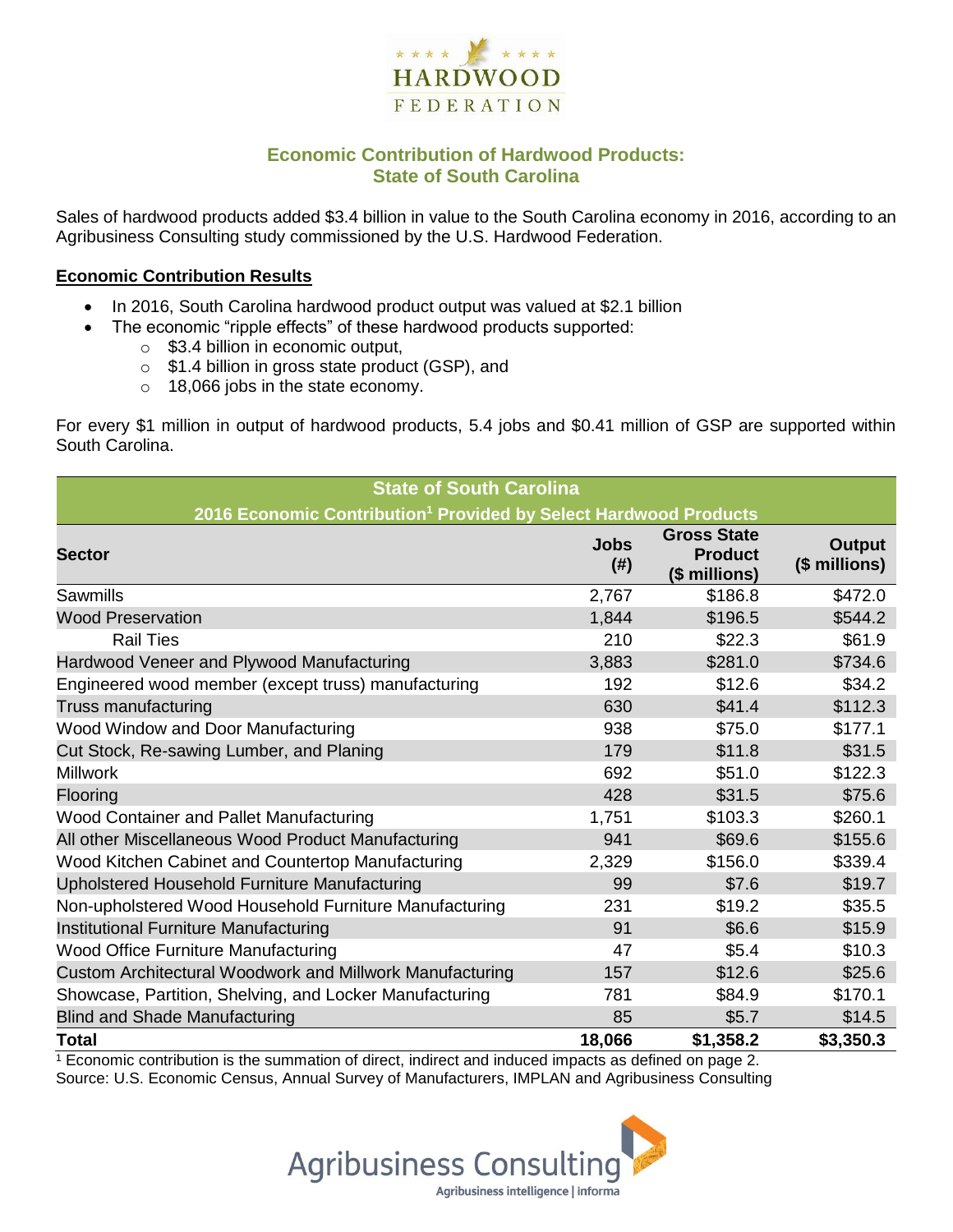

## **Economic Contribution of Hardwood Products: State of South Carolina**

Sales of hardwood products added \$3.4 billion in value to the South Carolina economy in 2016, according to an Agribusiness Consulting study commissioned by the U.S. Hardwood Federation.

#### **Economic Contribution Results**

- In 2016, South Carolina hardwood product output was valued at \$2.1 billion
	- The economic "ripple effects" of these hardwood products supported:
		- $\circ$  \$3.4 billion in economic output,
		- o \$1.4 billion in gross state product (GSP), and
		- o 18,066 jobs in the state economy.

For every \$1 million in output of hardwood products, 5.4 jobs and \$0.41 million of GSP are supported within South Carolina.

| <b>State of South Carolina</b>                                               |                       |                                                       |                         |  |  |  |
|------------------------------------------------------------------------------|-----------------------|-------------------------------------------------------|-------------------------|--|--|--|
| 2016 Economic Contribution <sup>1</sup> Provided by Select Hardwood Products |                       |                                                       |                         |  |  |  |
| <b>Sector</b>                                                                | <b>Jobs</b><br>$(\#)$ | <b>Gross State</b><br><b>Product</b><br>(\$ millions) | Output<br>(\$ millions) |  |  |  |
| Sawmills                                                                     | 2,767                 | \$186.8                                               | \$472.0                 |  |  |  |
| <b>Wood Preservation</b>                                                     | 1,844                 | \$196.5                                               | \$544.2                 |  |  |  |
| <b>Rail Ties</b>                                                             | 210                   | \$22.3                                                | \$61.9                  |  |  |  |
| Hardwood Veneer and Plywood Manufacturing                                    | 3,883                 | \$281.0                                               | \$734.6                 |  |  |  |
| Engineered wood member (except truss) manufacturing                          | 192                   | \$12.6                                                | \$34.2                  |  |  |  |
| Truss manufacturing                                                          | 630                   | \$41.4                                                | \$112.3                 |  |  |  |
| Wood Window and Door Manufacturing                                           | 938                   | \$75.0                                                | \$177.1                 |  |  |  |
| Cut Stock, Re-sawing Lumber, and Planing                                     | 179                   | \$11.8                                                | \$31.5                  |  |  |  |
| <b>Millwork</b>                                                              | 692                   | \$51.0                                                | \$122.3                 |  |  |  |
| Flooring                                                                     | 428                   | \$31.5                                                | \$75.6                  |  |  |  |
| Wood Container and Pallet Manufacturing                                      | 1,751                 | \$103.3                                               | \$260.1                 |  |  |  |
| All other Miscellaneous Wood Product Manufacturing                           | 941                   | \$69.6                                                | \$155.6                 |  |  |  |
| Wood Kitchen Cabinet and Countertop Manufacturing                            | 2,329                 | \$156.0                                               | \$339.4                 |  |  |  |
| Upholstered Household Furniture Manufacturing                                | 99                    | \$7.6                                                 | \$19.7                  |  |  |  |
| Non-upholstered Wood Household Furniture Manufacturing                       | 231                   | \$19.2                                                | \$35.5                  |  |  |  |
| Institutional Furniture Manufacturing                                        | 91                    | \$6.6                                                 | \$15.9                  |  |  |  |
| <b>Wood Office Furniture Manufacturing</b>                                   | 47                    | \$5.4                                                 | \$10.3                  |  |  |  |
| Custom Architectural Woodwork and Millwork Manufacturing                     | 157                   | \$12.6                                                | \$25.6                  |  |  |  |
| Showcase, Partition, Shelving, and Locker Manufacturing                      | 781                   | \$84.9                                                | \$170.1                 |  |  |  |
| <b>Blind and Shade Manufacturing</b>                                         | 85                    | \$5.7                                                 | \$14.5                  |  |  |  |
| <b>Total</b>                                                                 | 18,066                | \$1,358.2                                             | \$3,350.3               |  |  |  |

 $1$  Economic contribution is the summation of direct, indirect and induced impacts as defined on page 2. Source: U.S. Economic Census, Annual Survey of Manufacturers, IMPLAN and Agribusiness Consulting